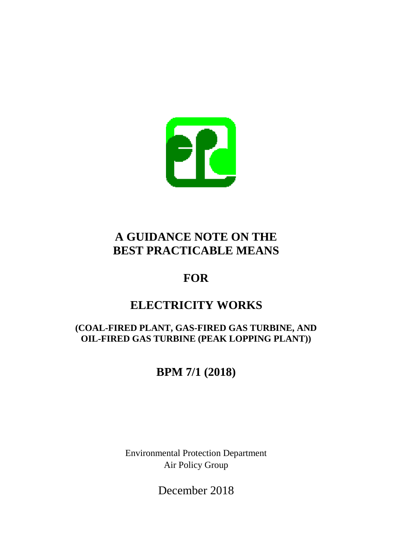

# **A GUIDANCE NOTE ON THE BEST PRACTICABLE MEANS**

# **FOR**

# **ELECTRICITY WORKS**

# **(COAL-FIRED PLANT, GAS-FIRED GAS TURBINE, AND OIL-FIRED GAS TURBINE (PEAK LOPPING PLANT))**

# **BPM 7/1 (2018)**

Environmental Protection Department Air Policy Group

December 2018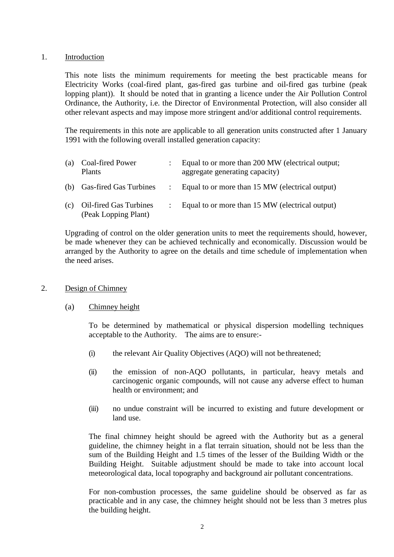## 1. Introduction

This note lists the minimum requirements for meeting the best practicable means for Electricity Works (coal-fired plant, gas-fired gas turbine and oil-fired gas turbine (peak lopping plant)). It should be noted that in granting a licence under the Air Pollution Control Ordinance, the Authority, i.e. the Director of Environmental Protection, will also consider all other relevant aspects and may impose more stringent and/or additional control requirements.

The requirements in this note are applicable to all generation units constructed after 1 January 1991 with the following overall installed generation capacity:

| (a) | Coal-fired Power<br>Plants                     | Equal to or more than 200 MW (electrical output;<br>aggregate generating capacity) |
|-----|------------------------------------------------|------------------------------------------------------------------------------------|
|     | (b) Gas-fired Gas Turbines                     | Equal to or more than 15 MW (electrical output)                                    |
| (c) | Oil-fired Gas Turbines<br>(Peak Lopping Plant) | Equal to or more than 15 MW (electrical output)                                    |

Upgrading of control on the older generation units to meet the requirements should, however, be made whenever they can be achieved technically and economically. Discussion would be arranged by the Authority to agree on the details and time schedule of implementation when the need arises.

### 2. Design of Chimney

### (a) Chimney height

To be determined by mathematical or physical dispersion modelling techniques acceptable to the Authority. The aims are to ensure:-

- (i) the relevant Air Quality Objectives (AQO) will not be threatened;
- (ii) the emission of non-AQO pollutants, in particular, heavy metals and carcinogenic organic compounds, will not cause any adverse effect to human health or environment; and
- (iii) no undue constraint will be incurred to existing and future development or land use.

The final chimney height should be agreed with the Authority but as a general guideline, the chimney height in a flat terrain situation, should not be less than the sum of the Building Height and 1.5 times of the lesser of the Building Width or the Building Height. Suitable adjustment should be made to take into account local meteorological data, local topography and background air pollutant concentrations.

For non-combustion processes, the same guideline should be observed as far as practicable and in any case, the chimney height should not be less than 3 metres plus the building height.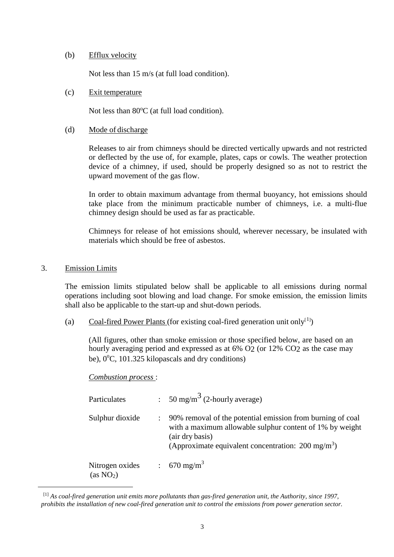### (b) Efflux velocity

Not less than 15 m/s (at full load condition).

### (c) Exit temperature

Not less than  $80^{\circ}$ C (at full load condition).

## (d) Mode of discharge

Releases to air from chimneys should be directed vertically upwards and not restricted or deflected by the use of, for example, plates, caps or cowls. The weather protection device of a chimney, if used, should be properly designed so as not to restrict the upward movement of the gas flow.

In order to obtain maximum advantage from thermal buoyancy, hot emissions should take place from the minimum practicable number of chimneys, i.e. a multi-flue chimney design should be used as far as practicable.

Chimneys for release of hot emissions should, wherever necessary, be insulated with materials which should be free of asbestos.

# 3. Emission Limits

<span id="page-2-0"></span>-

The emission limits stipulated below shall be applicable to all emissions during normal operations including soot blowing and load change. For smoke emission, the emission limits shall also be applicable to the start-up and shut-down periods.

(a) Coal-fired Power Plants (for existing coal-fired generation unit only<sup>[[1](#page-2-0)</sup>])

(All figures, other than smoke emission or those specified below, are based on an hourly averaging period and expressed as at 6% O<sub>2</sub> (or 12% CO<sub>2</sub> as the case may be),  $0^{\circ}$ C, 101.325 kilopascals and dry conditions)

### *Combustion process* :

| Particulates                             | : 50 mg/m <sup>3</sup> (2-hourly average)                                                                                                                                                                  |
|------------------------------------------|------------------------------------------------------------------------------------------------------------------------------------------------------------------------------------------------------------|
| Sulphur dioxide                          | 90% removal of the potential emission from burning of coal<br>with a maximum allowable sulphur content of 1% by weight<br>(air dry basis)<br>(Approximate equivalent concentration: $200 \text{ mg/m}^3$ ) |
| Nitrogen oxides<br>(as NO <sub>2</sub> ) | : 670 mg/m <sup>3</sup>                                                                                                                                                                                    |

<sup>[1]</sup> *As coal-fired generation unit emits more pollutants than gas-fired generation unit, the Authority, since 1997, prohibits the installation of new coal-fired generation unit to control the emissions from power generation sector.*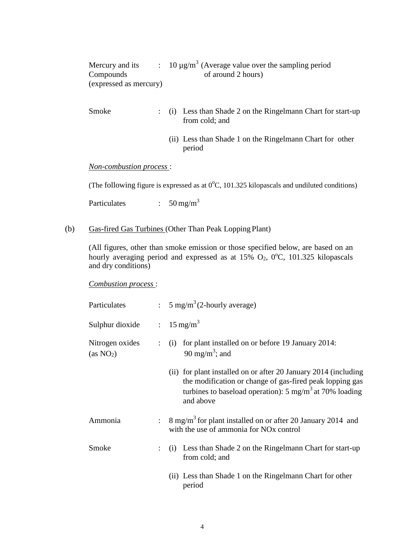<span id="page-3-0"></span>

| Mercury and its        | : 10 $\mu$ g/m <sup>3</sup> (Average value over the sampling period |  |
|------------------------|---------------------------------------------------------------------|--|
| Compounds              | of around 2 hours)                                                  |  |
| (expressed as mercury) |                                                                     |  |

- Smoke : (i) Less than Shade 2 on the Ringelmann Chart for start-up from cold; and
	- (ii) Less than Shade 1 on the Ringelmann Chart for other period

*Non-combustion process* :

(The following figure is expressed as at  $0^{\circ}$ C, 101.325 kilopascals and undiluted conditions)

Particulates : 50 [mg/m](#page-3-0)<sup>3</sup>

(b) Gas-fired Gas Turbines (Other Than Peak Lopping Plant)

(All figures, other than smoke emission or those specified below, are based on an hourly averaging period and expressed as at  $15\%$  O<sub>2</sub>,  $0^{\circ}$ C, 101.325 kilopascals and dry conditions)

*Combustion process* :

| Particulates                             |                           | : $5 \text{ mg/m}^3$ (2-hourly average)                                                                                                                                                                        |
|------------------------------------------|---------------------------|----------------------------------------------------------------------------------------------------------------------------------------------------------------------------------------------------------------|
| Sulphur dioxide                          |                           | $\therefore$ 15 mg/m <sup>3</sup>                                                                                                                                                                              |
| Nitrogen oxides<br>(as NO <sub>2</sub> ) |                           | for plant installed on or before 19 January 2014:<br>$\colon$ (i)<br>90 mg/m <sup>3</sup> ; and                                                                                                                |
|                                          |                           | (ii) for plant installed on or after 20 January 2014 (including<br>the modification or change of gas-fired peak lopping gas<br>turbines to baseload operation): $5 \text{ mg/m}^3$ at 70% loading<br>and above |
| Ammonia                                  | $\mathbb{R}^{\mathbb{Z}}$ | $8 \text{ mg/m}^3$ for plant installed on or after 20 January 2014 and<br>with the use of ammonia for NO <sub>x</sub> control                                                                                  |
| Smoke<br>from cold; and                  |                           | (i) Less than Shade 2 on the Ringelmann Chart for start-up                                                                                                                                                     |
|                                          |                           | (ii) Less than Shade 1 on the Ringelmann Chart for other<br>period                                                                                                                                             |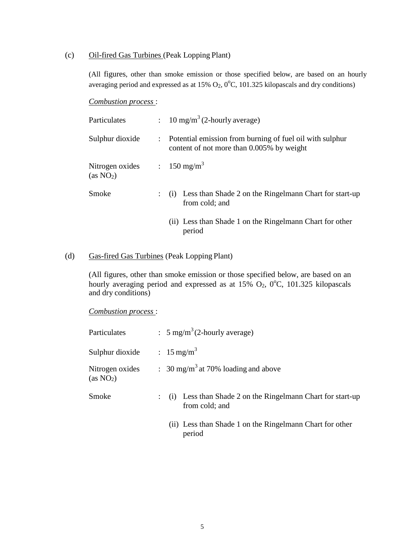### (c) Oil-fired Gas Turbines (Peak Lopping Plant)

(All figures, other than smoke emission or those specified below, are based on an hourly averaging period and expressed as at  $15\%$  O<sub>2</sub>, 0<sup>o</sup>C, 101.325 kilopascals and dry conditions)

#### *Combustion process* :

| Particulates                             | : 10 mg/m <sup>3</sup> (2-hourly average)                                                               |  |
|------------------------------------------|---------------------------------------------------------------------------------------------------------|--|
| Sulphur dioxide                          | : Potential emission from burning of fuel oil with sulphur<br>content of not more than 0.005% by weight |  |
| Nitrogen oxides<br>(as NO <sub>2</sub> ) | : 150 mg/m <sup>3</sup>                                                                                 |  |
| Smoke                                    | : (i) Less than Shade 2 on the Ringelmann Chart for start-up<br>from cold; and                          |  |
|                                          | (ii) Less than Shade 1 on the Ringelmann Chart for other<br>period                                      |  |

# (d) Gas-fired Gas Turbines (Peak Lopping Plant)

(All figures, other than smoke emission or those specified below, are based on an hourly averaging period and expressed as at  $15\%$  O<sub>2</sub>, 0<sup>o</sup>C, 101.325 kilopascals and dry conditions)

*Combustion process* :

| Particulates                             | : $5 \text{ mg/m}^3$ (2-hourly average)                                      |
|------------------------------------------|------------------------------------------------------------------------------|
| Sulphur dioxide                          | $: 15 \text{ mg/m}^3$                                                        |
| Nitrogen oxides<br>(as NO <sub>2</sub> ) | : 30 mg/m <sup>3</sup> at 70% loading and above                              |
| Smoke                                    | (i) Less than Shade 2 on the Ringelmann Chart for start-up<br>from cold; and |
|                                          | (ii) Less than Shade 1 on the Ringelmann Chart for other<br>period           |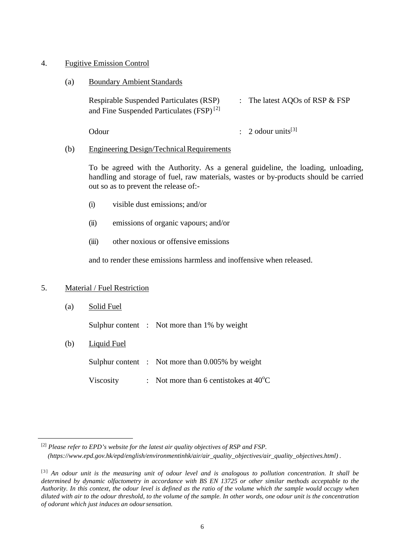### 4. Fugitive Emission Control

(a) Boundary Ambient Standards

| <b>Respirable Suspended Particulates (RSP)</b>       | The latest AQOs of RSP $&$ FSP |
|------------------------------------------------------|--------------------------------|
| and Fine Suspended Particulates (FSP) <sup>[2]</sup> |                                |

Odour : 2 odour units<sup>[[3](#page-5-1)]</sup>

# (b) Engineering Design/Technical Requirements

To be agreed with the Authority. As a general guideline, the loading, unloading, handling and storage of fuel, raw materials, wastes or by-products should be carried out so as to prevent the release of:-

- (i) visible dust emissions; and/or
- (ii) emissions of organic vapours; and/or
- (iii) other noxious or offensive emissions

and to render these emissions harmless and inoffensive when released.

# 5. Material / Fuel Restriction

(a) Solid Fuel

Sulphur content : Not more than 1% by weight

(b) Liquid Fuel

Sulphur content : Not more than 0.005% by weight

Viscosity : Not more than 6 centistokes at  $40^{\circ}$ C

<span id="page-5-0"></span> <sup>[2]</sup> *Please refer to EPD's website for the latest air quality objectives of RSP and FSP. (https://www.epd.gov.hk/epd/english/environmentinhk/air/air\_quality\_objectives/air\_quality\_objectives.html) .*

<span id="page-5-1"></span><sup>[3]</sup> *An odour unit is the measuring unit of odour level and is analogous to pollution concentration. It shall be determined by dynamic olfactometry in accordance with BS EN 13725 or other similar methods acceptable to the Authority. In this context, the odour level is defined as the ratio of the volume which the sample would occupy when diluted with air to the odour threshold, to the volume of the sample. In other words, one odour unit is the concentration of odorant which just induces an odoursensation.*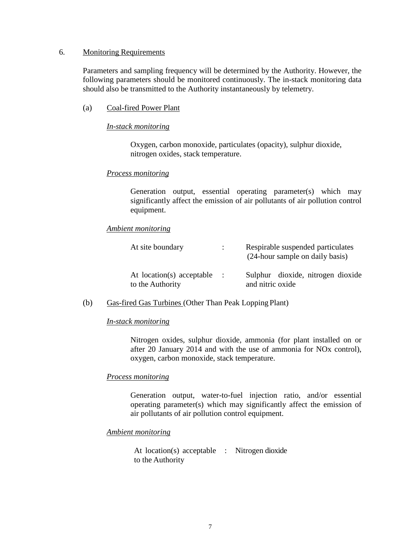### 6. Monitoring Requirements

Parameters and sampling frequency will be determined by the Authority. However, the following parameters should be monitored continuously. The in-stack monitoring data should also be transmitted to the Authority instantaneously by telemetry.

(a) Coal-fired Power Plant

#### *In-stack monitoring*

Oxygen, carbon monoxide, particulates (opacity), sulphur dioxide, nitrogen oxides, stack temperature.

#### *Process monitoring*

Generation output, essential operating parameter(s) which may significantly affect the emission of air pollutants of air pollution control equipment.

#### *Ambient monitoring*

| At site boundary                              | $\mathbb{R}^{\mathbb{Z}}$ | Respirable suspended particulates<br>(24-hour sample on daily basis) |
|-----------------------------------------------|---------------------------|----------------------------------------------------------------------|
| At location(s) acceptable<br>to the Authority | $\ddot{\phantom{0}}$      | Sulphur dioxide, nitrogen dioxide<br>and nitric oxide                |

(b) Gas-fired Gas Turbines (Other Than Peak Lopping Plant)

#### *In-stack monitoring*

Nitrogen oxides, sulphur dioxide, ammonia (for plant installed on or after 20 January 2014 and with the use of ammonia for NOx control), oxygen, carbon monoxide, stack temperature.

#### *Process monitoring*

Generation output, water-to-fuel injection ratio, and/or essential operating parameter(s) which may significantly affect the emission of air pollutants of air pollution control equipment.

#### *Ambient monitoring*

At location(s) acceptable : Nitrogen dioxide to the Authority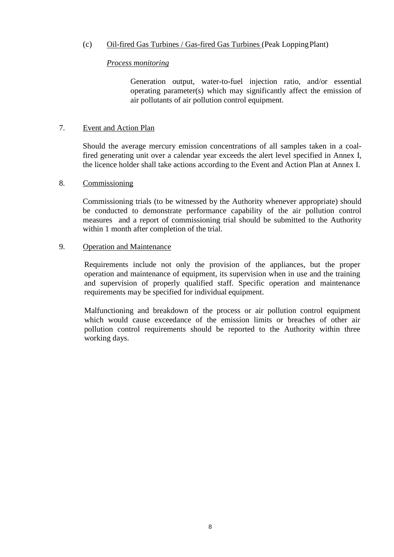# (c) Oil-fired Gas Turbines / Gas-fired Gas Turbines (Peak LoppingPlant)

### *Process monitoring*

Generation output, water-to-fuel injection ratio, and/or essential operating parameter(s) which may significantly affect the emission of air pollutants of air pollution control equipment.

#### 7. Event and Action Plan

Should the average mercury emission concentrations of all samples taken in a coalfired generating unit over a calendar year exceeds the alert level specified in Annex I, the licence holder shall take actions according to the Event and Action Plan at Annex I.

#### 8. Commissioning

Commissioning trials (to be witnessed by the Authority whenever appropriate) should be conducted to demonstrate performance capability of the air pollution control measures and a report of commissioning trial should be submitted to the Authority within 1 month after completion of the trial.

#### 9. Operation and Maintenance

Requirements include not only the provision of the appliances, but the proper operation and maintenance of equipment, its supervision when in use and the training and supervision of properly qualified staff. Specific operation and maintenance requirements may be specified for individual equipment.

Malfunctioning and breakdown of the process or air pollution control equipment which would cause exceedance of the emission limits or breaches of other air pollution control requirements should be reported to the Authority within three working days.